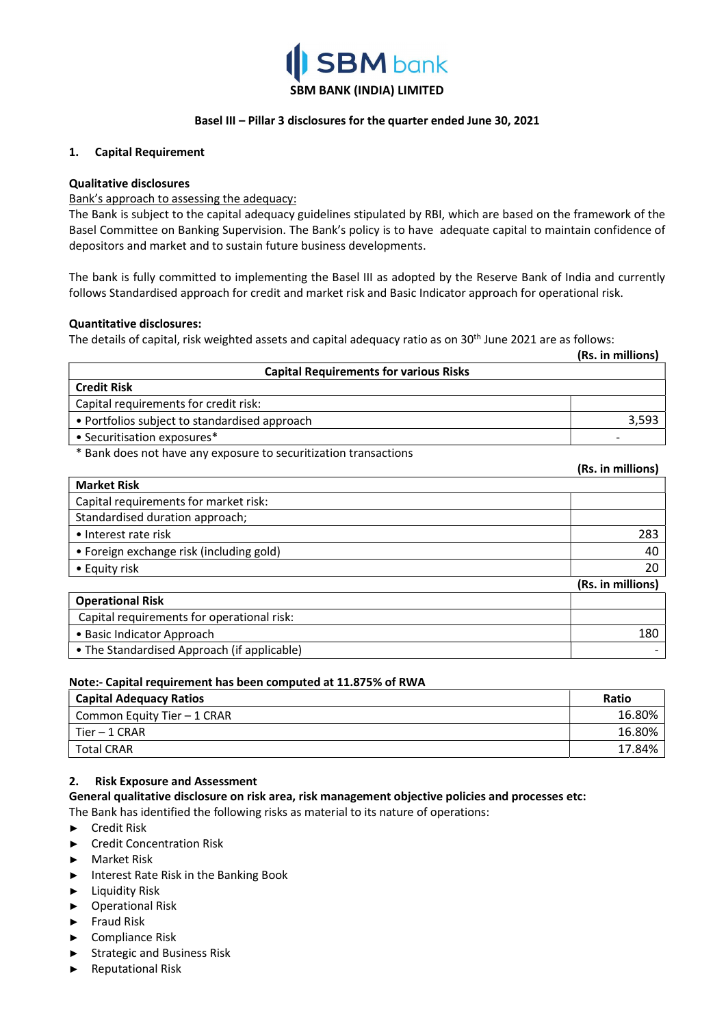

### Basel III – Pillar 3 disclosures for the quarter ended June 30, 2021

### 1. Capital Requirement

### Qualitative disclosures

### Bank's approach to assessing the adequacy:

The Bank is subject to the capital adequacy guidelines stipulated by RBI, which are based on the framework of the Basel Committee on Banking Supervision. The Bank's policy is to have adequate capital to maintain confidence of depositors and market and to sustain future business developments.

The bank is fully committed to implementing the Basel III as adopted by the Reserve Bank of India and currently follows Standardised approach for credit and market risk and Basic Indicator approach for operational risk.

### Quantitative disclosures:

The details of capital, risk weighted assets and capital adequacy ratio as on 30<sup>th</sup> June 2021 are as follows:

|                                                                  | (Rs. in millions) |
|------------------------------------------------------------------|-------------------|
| <b>Capital Requirements for various Risks</b>                    |                   |
| <b>Credit Risk</b>                                               |                   |
| Capital requirements for credit risk:                            |                   |
| • Portfolios subject to standardised approach                    | 3,593             |
| • Securitisation exposures*                                      |                   |
| * Bank does not have any exposure to securitization transactions |                   |
|                                                                  | (Rs. in millions) |
| <b>Market Risk</b>                                               |                   |
| Capital requirements for market risk:                            |                   |
| Standardised duration approach;                                  |                   |
| • Interest rate risk                                             | 283               |
| • Foreign exchange risk (including gold)                         | 40                |
| • Equity risk                                                    | 20                |
|                                                                  | (Rs. in millions) |
| <b>Operational Risk</b>                                          |                   |
| Capital requirements for operational risk:                       |                   |
| • Basic Indicator Approach                                       | 180               |
| • The Standardised Approach (if applicable)                      |                   |

### Note:- Capital requirement has been computed at 11.875% of RWA

| <b>Capital Adequacy Ratios</b> | Ratio  |
|--------------------------------|--------|
| Common Equity Tier - 1 CRAR    | 16.80% |
| $Tier - 1 CRAR$                | 16.80% |
| <b>Total CRAR</b>              | 17.84% |

### 2. Risk Exposure and Assessment

General qualitative disclosure on risk area, risk management objective policies and processes etc:

The Bank has identified the following risks as material to its nature of operations:

- ► Credit Risk
- ► Credit Concentration Risk
- ► Market Risk
- ► Interest Rate Risk in the Banking Book
- ► Liquidity Risk
- ► Operational Risk
- ► Fraud Risk
- ► Compliance Risk
- ► Strategic and Business Risk
- ► Reputational Risk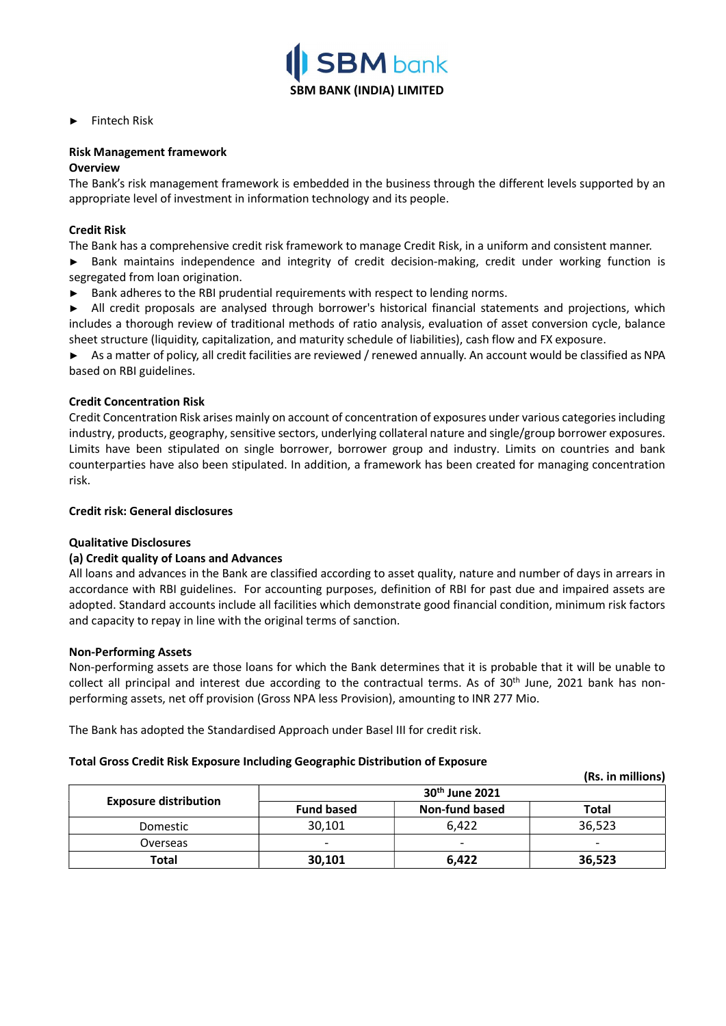

► Fintech Risk

### Risk Management framework

### **Overview**

The Bank's risk management framework is embedded in the business through the different levels supported by an appropriate level of investment in information technology and its people.

### Credit Risk

The Bank has a comprehensive credit risk framework to manage Credit Risk, in a uniform and consistent manner.

► Bank maintains independence and integrity of credit decision-making, credit under working function is segregated from loan origination.

► Bank adheres to the RBI prudential requirements with respect to lending norms.

► All credit proposals are analysed through borrower's historical financial statements and projections, which includes a thorough review of traditional methods of ratio analysis, evaluation of asset conversion cycle, balance sheet structure (liquidity, capitalization, and maturity schedule of liabilities), cash flow and FX exposure.

► As a matter of policy, all credit facilities are reviewed / renewed annually. An account would be classified as NPA based on RBI guidelines.

### Credit Concentration Risk

Credit Concentration Risk arises mainly on account of concentration of exposures under various categories including industry, products, geography, sensitive sectors, underlying collateral nature and single/group borrower exposures. Limits have been stipulated on single borrower, borrower group and industry. Limits on countries and bank counterparties have also been stipulated. In addition, a framework has been created for managing concentration risk.

### Credit risk: General disclosures

### Qualitative Disclosures

### (a) Credit quality of Loans and Advances

All loans and advances in the Bank are classified according to asset quality, nature and number of days in arrears in accordance with RBI guidelines. For accounting purposes, definition of RBI for past due and impaired assets are adopted. Standard accounts include all facilities which demonstrate good financial condition, minimum risk factors and capacity to repay in line with the original terms of sanction.

### Non-Performing Assets

Non-performing assets are those loans for which the Bank determines that it is probable that it will be unable to collect all principal and interest due according to the contractual terms. As of  $30<sup>th</sup>$  June, 2021 bank has nonperforming assets, net off provision (Gross NPA less Provision), amounting to INR 277 Mio.

The Bank has adopted the Standardised Approach under Basel III for credit risk.

### Total Gross Credit Risk Exposure Including Geographic Distribution of Exposure

|                              |                          |                            | (Rs. in millions) |
|------------------------------|--------------------------|----------------------------|-------------------|
|                              |                          | 30 <sup>th</sup> June 2021 |                   |
| <b>Exposure distribution</b> | <b>Fund based</b>        | Non-fund based             | Total             |
| Domestic                     | 30,101                   | 6,422                      | 36,523            |
| Overseas                     | $\overline{\phantom{0}}$ |                            |                   |
| <b>Total</b>                 | 30,101                   | 6.422                      | 36,523            |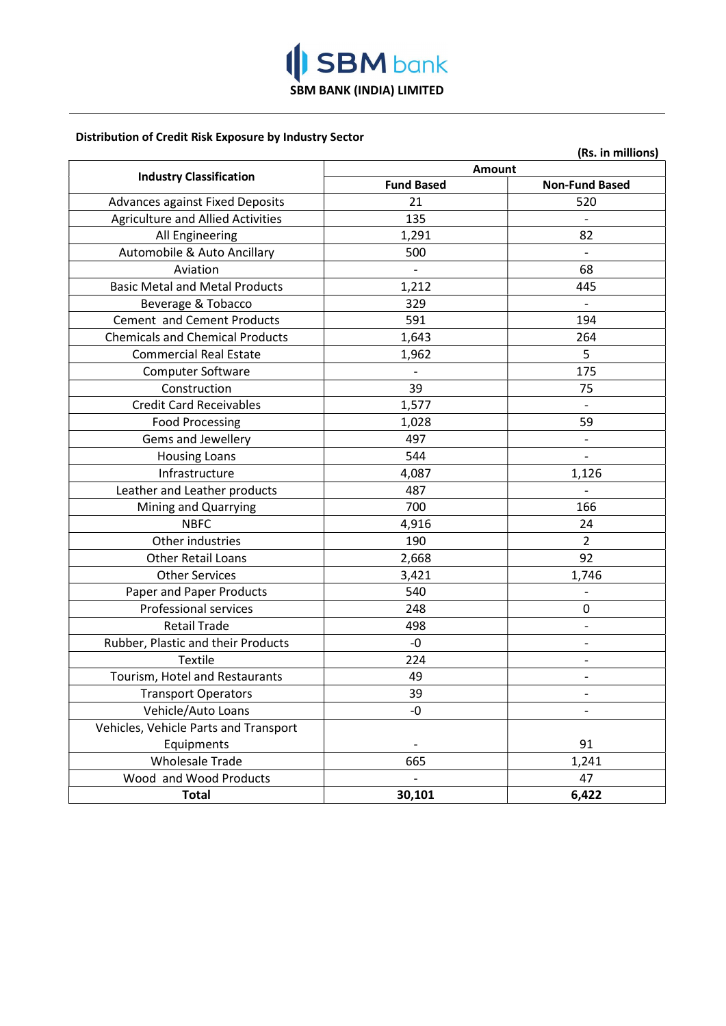

### Distribution of Credit Risk Exposure by Industry Sector

|                                          |                   | (Rs. in millions)            |
|------------------------------------------|-------------------|------------------------------|
| <b>Industry Classification</b>           | Amount            |                              |
|                                          | <b>Fund Based</b> | <b>Non-Fund Based</b>        |
| <b>Advances against Fixed Deposits</b>   | 21                | 520                          |
| <b>Agriculture and Allied Activities</b> | 135               |                              |
| All Engineering                          | 1,291             | 82                           |
| Automobile & Auto Ancillary              | 500               |                              |
| Aviation                                 |                   | 68                           |
| <b>Basic Metal and Metal Products</b>    | 1,212             | 445                          |
| Beverage & Tobacco                       | 329               | $\overline{\phantom{a}}$     |
| Cement and Cement Products               | 591               | 194                          |
| <b>Chemicals and Chemical Products</b>   | 1,643             | 264                          |
| <b>Commercial Real Estate</b>            | 1,962             | 5                            |
| <b>Computer Software</b>                 |                   | 175                          |
| Construction                             | 39                | 75                           |
| <b>Credit Card Receivables</b>           | 1,577             |                              |
| <b>Food Processing</b>                   | 1,028             | 59                           |
| Gems and Jewellery                       | 497               | $\qquad \qquad -$            |
| <b>Housing Loans</b>                     | 544               | $\overline{a}$               |
| Infrastructure                           | 4,087             | 1,126                        |
| Leather and Leather products             | 487               |                              |
| Mining and Quarrying                     | 700               | 166                          |
| <b>NBFC</b>                              | 4,916             | 24                           |
| Other industries                         | 190               | $\overline{2}$               |
| Other Retail Loans                       | 2,668             | 92                           |
| <b>Other Services</b>                    | 3,421             | 1,746                        |
| Paper and Paper Products                 | 540               | $\qquad \qquad \blacksquare$ |
| <b>Professional services</b>             | 248               | 0                            |
| <b>Retail Trade</b>                      | 498               |                              |
| Rubber, Plastic and their Products       | $-0$              | $\overline{\phantom{0}}$     |
| <b>Textile</b>                           | 224               | $\overline{\phantom{0}}$     |
| Tourism, Hotel and Restaurants           | 49                |                              |
| <b>Transport Operators</b>               | 39                |                              |
| Vehicle/Auto Loans                       | -0                |                              |
| Vehicles, Vehicle Parts and Transport    |                   |                              |
| Equipments                               |                   | 91                           |
| <b>Wholesale Trade</b>                   | 665               | 1,241                        |
| Wood and Wood Products                   |                   | 47                           |
| <b>Total</b>                             | 30,101            | 6,422                        |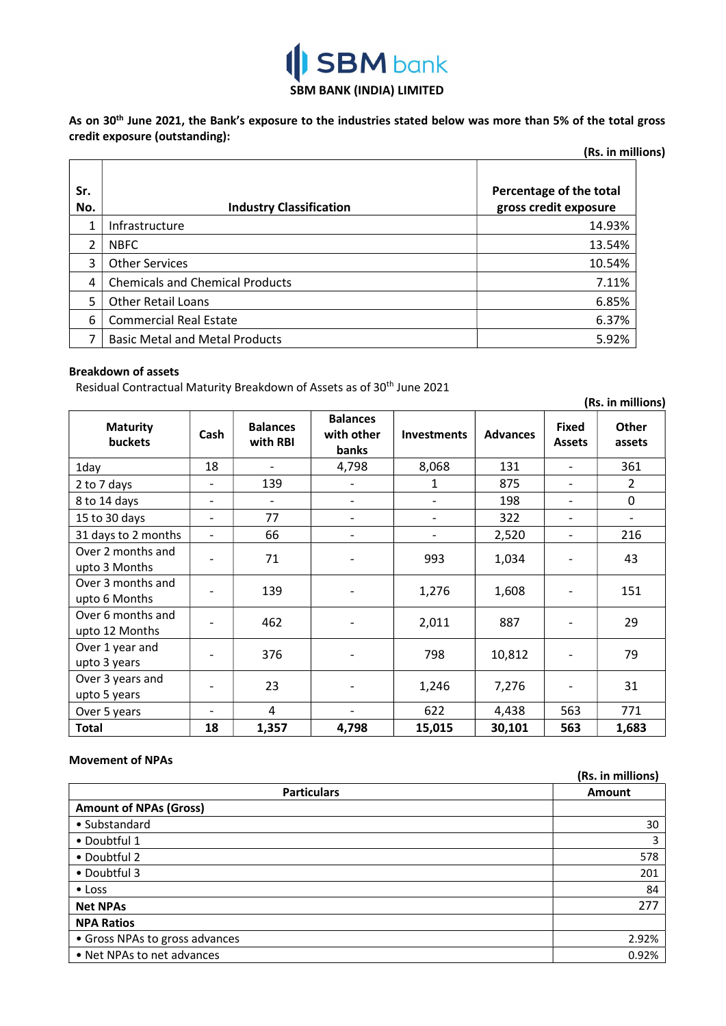# **SBM** bank SBM BANK (INDIA) LIMITED

As on 30<sup>th</sup> June 2021, the Bank's exposure to the industries stated below was more than 5% of the total gross credit exposure (outstanding):

| (Rs. in millions) |                                        |                                                  |  |
|-------------------|----------------------------------------|--------------------------------------------------|--|
| Sr.<br>No.        | <b>Industry Classification</b>         | Percentage of the total<br>gross credit exposure |  |
| 1                 | Infrastructure                         | 14.93%                                           |  |
| $\mathcal{P}$     | <b>NBFC</b>                            | 13.54%                                           |  |
| 3                 | <b>Other Services</b>                  | 10.54%                                           |  |
| 4                 | <b>Chemicals and Chemical Products</b> | 7.11%                                            |  |
| 5                 | <b>Other Retail Loans</b>              | 6.85%                                            |  |
| 6                 | <b>Commercial Real Estate</b>          | 6.37%                                            |  |
|                   | <b>Basic Metal and Metal Products</b>  | 5.92%                                            |  |

### Breakdown of assets

Residual Contractual Maturity Breakdown of Assets as of 30<sup>th</sup> June 2021

|                                     |                              |                             |                                               |                    |                 |                               | (Rs. in millions)        |
|-------------------------------------|------------------------------|-----------------------------|-----------------------------------------------|--------------------|-----------------|-------------------------------|--------------------------|
| <b>Maturity</b><br>buckets          | Cash                         | <b>Balances</b><br>with RBI | <b>Balances</b><br>with other<br><b>banks</b> | <b>Investments</b> | <b>Advances</b> | <b>Fixed</b><br><b>Assets</b> | <b>Other</b><br>assets   |
| 1day                                | 18                           |                             | 4,798                                         | 8,068              | 131             | $\overline{\phantom{a}}$      | 361                      |
| 2 to 7 days                         | $\qquad \qquad \blacksquare$ | 139                         |                                               | 1                  | 875             |                               | $\overline{2}$           |
| 8 to 14 days                        | -                            | $\overline{\phantom{a}}$    | $\overline{\phantom{0}}$                      |                    | 198             | $\overline{\phantom{a}}$      | $\mathbf 0$              |
| 15 to 30 days                       | $\qquad \qquad \blacksquare$ | 77                          | ٠                                             |                    | 322             | $\overline{\phantom{a}}$      | $\overline{\phantom{a}}$ |
| 31 days to 2 months                 | $\overline{\phantom{a}}$     | 66                          | $\overline{a}$                                |                    | 2,520           | $\overline{\phantom{a}}$      | 216                      |
| Over 2 months and<br>upto 3 Months  |                              | 71                          |                                               | 993                | 1,034           |                               | 43                       |
| Over 3 months and<br>upto 6 Months  |                              | 139                         |                                               | 1,276              | 1,608           |                               | 151                      |
| Over 6 months and<br>upto 12 Months |                              | 462                         |                                               | 2,011              | 887             |                               | 29                       |
| Over 1 year and<br>upto 3 years     |                              | 376                         |                                               | 798                | 10,812          |                               | 79                       |
| Over 3 years and<br>upto 5 years    |                              | 23                          |                                               | 1,246              | 7,276           |                               | 31                       |
| Over 5 years                        |                              | 4                           | -                                             | 622                | 4,438           | 563                           | 771                      |
| <b>Total</b>                        | 18                           | 1,357                       | 4,798                                         | 15,015             | 30,101          | 563                           | 1,683                    |

### Movement of NPAs

|                                | (Rs. in millions) |
|--------------------------------|-------------------|
| <b>Particulars</b>             | <b>Amount</b>     |
| <b>Amount of NPAs (Gross)</b>  |                   |
| • Substandard                  | 30                |
| • Doubtful 1                   | 3                 |
| • Doubtful 2                   | 578               |
| • Doubtful 3                   | 201               |
| $\bullet$ Loss                 | 84                |
| <b>Net NPAs</b>                | 277               |
| <b>NPA Ratios</b>              |                   |
| • Gross NPAs to gross advances | 2.92%             |
| • Net NPAs to net advances     | 0.92%             |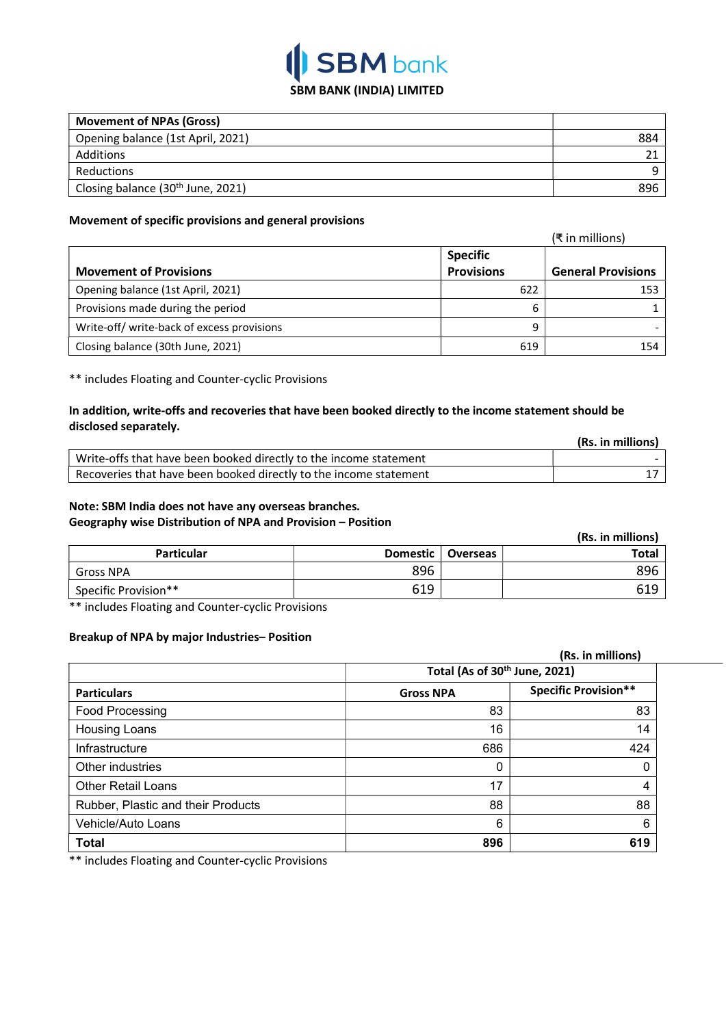

| <b>Movement of NPAs (Gross)</b>               |     |
|-----------------------------------------------|-----|
| Opening balance (1st April, 2021)             | 884 |
| Additions                                     |     |
| Reductions                                    | a   |
| Closing balance (30 <sup>th</sup> June, 2021) | 896 |

### Movement of specific provisions and general provisions

|                                            |                   | (₹ in millions)           |
|--------------------------------------------|-------------------|---------------------------|
|                                            | <b>Specific</b>   |                           |
| <b>Movement of Provisions</b>              | <b>Provisions</b> | <b>General Provisions</b> |
| Opening balance (1st April, 2021)          | 622               | 153                       |
| Provisions made during the period          | 6                 |                           |
| Write-off/ write-back of excess provisions | 9                 |                           |
| Closing balance (30th June, 2021)          | 619               | 154                       |

\*\* includes Floating and Counter-cyclic Provisions

### In addition, write-offs and recoveries that have been booked directly to the income statement should be disclosed separately.

|                                                                   | (Rs. in millions) |
|-------------------------------------------------------------------|-------------------|
| Write-offs that have been booked directly to the income statement |                   |
| Recoveries that have been booked directly to the income statement |                   |

## Note: SBM India does not have any overseas branches.

# Geography wise Distribution of NPA and Provision – Position

|                      |                 |                 | (Rs. in millions) |
|----------------------|-----------------|-----------------|-------------------|
| <b>Particular</b>    | <b>Domestic</b> | <b>Overseas</b> | Total             |
| ์ Gross NPA          | 896             |                 | 896               |
| Specific Provision** | 619             |                 | 619               |

\*\* includes Floating and Counter-cyclic Provisions

### Breakup of NPA by major Industries– Position

|                                    |                                           | (Rs. in millions)           |  |
|------------------------------------|-------------------------------------------|-----------------------------|--|
|                                    | Total (As of 30 <sup>th</sup> June, 2021) |                             |  |
| <b>Particulars</b>                 | <b>Gross NPA</b>                          | <b>Specific Provision**</b> |  |
| Food Processing                    | 83                                        | 83                          |  |
| Housing Loans                      | 16                                        | 14                          |  |
| Infrastructure                     | 686                                       | 424                         |  |
| Other industries                   | 0                                         | 0                           |  |
| <b>Other Retail Loans</b>          | 17                                        | 4                           |  |
| Rubber, Plastic and their Products | 88                                        | 88                          |  |
| Vehicle/Auto Loans                 | 6                                         | 6                           |  |
| <b>Total</b>                       | 896                                       | 619                         |  |

\*\* includes Floating and Counter-cyclic Provisions